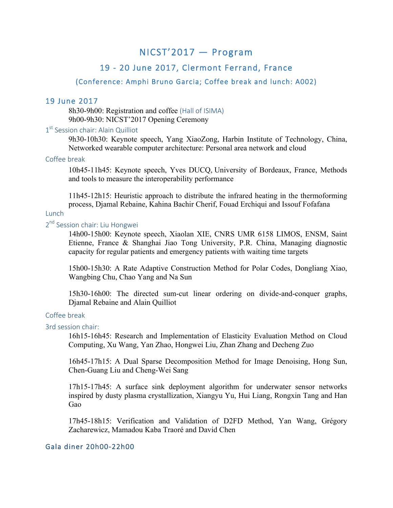# NICST'2017 — Program

# 19 - 20 June 2017, Clermont Ferrand, France

# (Conference: Amphi Bruno Garcia; Coffee break and lunch: A002)

## 19 June 2017

8h30-9h00: Registration and coffee (Hall of ISIMA) 9h00-9h30: NICST'2017 Opening Ceremony

# 1<sup>st</sup> Session chair: Alain Quilliot

9h30-10h30: Keynote speech, Yang XiaoZong, Harbin Institute of Technology, China, Networked wearable computer architecture: Personal area network and cloud

### Coffee break

10h45-11h45: Keynote speech, Yves DUCQ, University of Bordeaux, France, Methods and tools to measure the interoperability performance

11h45-12h15: Heuristic approach to distribute the infrared heating in the thermoforming process, Djamal Rebaine, Kahina Bachir Cherif, Fouad Erchiqui and Issouf Fofafana

## **Lunch**

# 2<sup>nd</sup> Session chair: Liu Hongwei

14h00-15h00: Keynote speech, Xiaolan XIE, CNRS UMR 6158 LIMOS, ENSM, Saint Etienne, France & Shanghai Jiao Tong University, P.R. China, Managing diagnostic capacity for regular patients and emergency patients with waiting time targets

15h00-15h30: A Rate Adaptive Construction Method for Polar Codes, Dongliang Xiao, Wangbing Chu, Chao Yang and Na Sun

15h30-16h00: The directed sum-cut linear ordering on divide-and-conquer graphs, Djamal Rebaine and Alain Quilliot

## Coffee break

#### 3rd session chair:

16h15-16h45: Research and Implementation of Elasticity Evaluation Method on Cloud Computing, Xu Wang, Yan Zhao, Hongwei Liu, Zhan Zhang and Decheng Zuo

16h45-17h15: A Dual Sparse Decomposition Method for Image Denoising, Hong Sun, Chen-Guang Liu and Cheng-Wei Sang

17h15-17h45: A surface sink deployment algorithm for underwater sensor networks inspired by dusty plasma crystallization, Xiangyu Yu, Hui Liang, Rongxin Tang and Han Gao

17h45-18h15: Verification and Validation of D2FD Method, Yan Wang, Grégory Zacharewicz, Mamadou Kaba Traoré and David Chen

### Gala diner 20h00-22h00